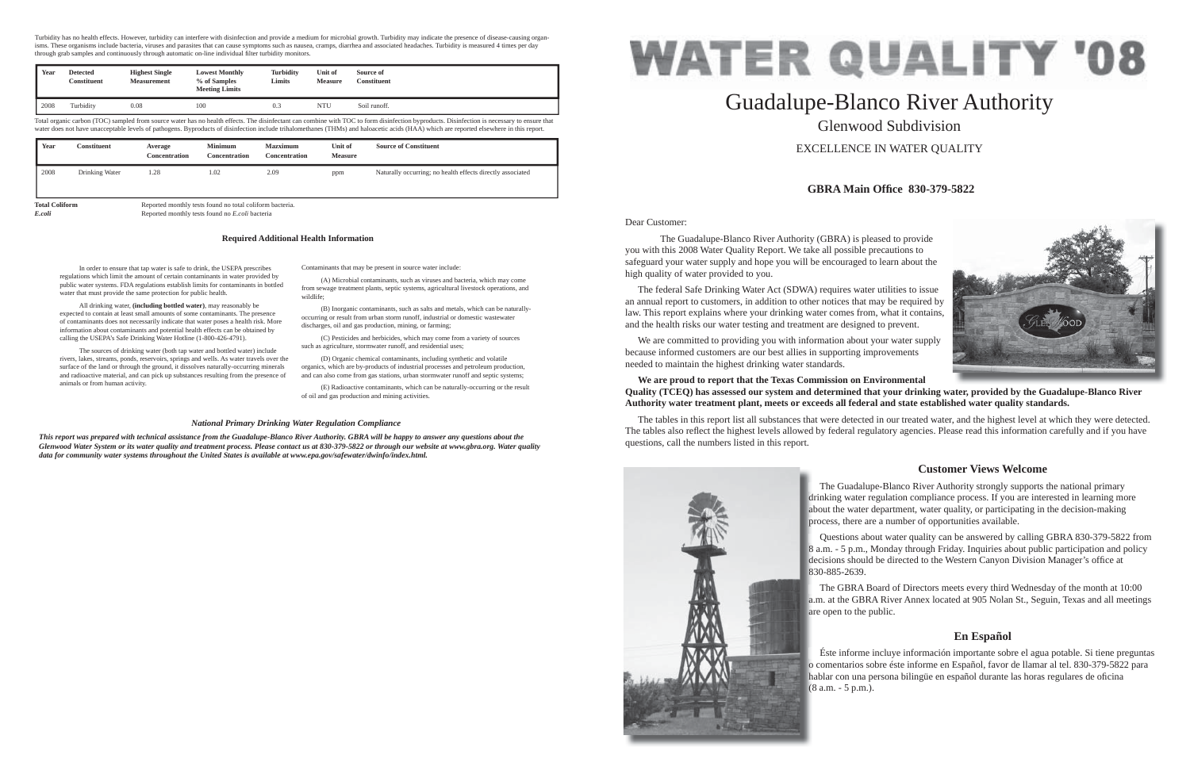Dear Customer:

 The Guadalupe-Blanco River Authority (GBRA) is pleased to provide you with this 2008 Water Quality Report. We take all possible precautions to safeguard your water supply and hope you will be encouraged to learn about the high quality of water provided to you.

 The federal Safe Drinking Water Act (SDWA) requires water utilities to issue an annual report to customers, in addition to other notices that may be required by law. This report explains where your drinking water comes from, what it contains, and the health risks our water testing and treatment are designed to prevent.

 We are committed to providing you with information about your water supply because informed customers are our best allies in supporting improvements needed to maintain the highest drinking water standards.

# **We are proud to report that the Texas Commission on Environmental Quality (TCEQ) has assessed our system and determined that your drinking water, provided by the Guadalupe-Blanco River Authority water treatment plant, meets or exceeds all federal and state established water quality standards.**

The tables in this report list all substances that were detected in our treated water, and the highest level at which they were detected. The tables also reflect the highest levels allowed by federal regulatory agencies. Please read this information carefully and if you have questions, call the numbers listed in this report.



# Guadalupe-Blanco River Authority Glenwood SubdivisionEXCELLENCE IN WATER QUALITY

# **GBRA Main Offi ce 830-379-5822**

# **Customer Views Welcome**

# **En Español**

In order to ensure that tap water is safe to drink, the USEPA prescribes regulations which limit the amount of certain contaminants in water provided by public water systems. FDA regulations establish limits for contaminants in bottled water that must provide the same protection for public health.

Total organic carbon (TOC) sampled from source water has no health effects. The disinfectant can combine with TOC to form disinfection byproducts. Disinfection is necessary to ensure that water does not have unacceptable levels of pathogens. Byproducts of disinfection include trihalomethanes (THMs) and haloacetic acids (HAA) which are reported elsewhere in this report.

 All drinking water, **(including bottled water)**, may reasonably be expected to contain at least small amounts of some contaminants. The presence of contaminants does not necessarily indicate that water poses a health risk. More information about contaminants and potential health effects can be obtained by calling the USEPA's Safe Drinking Water Hotline (1-800-426-4791).

> The Guadalupe-Blanco River Authority strongly supports the national primary drinking water regulation compliance process. If you are interested in learning more d about the water department, water quality, or participating in the decision-making a process, there are a number of opportunities available. p

 The sources of drinking water (both tap water and bottled water) include rivers, lakes, streams, ponds, reservoirs, springs and wells. As water travels over the surface of the land or through the ground, it dissolves naturally-occurring minerals and radioactive material, and can pick up substances resulting from the presence of animals or from human activity.

> Questions about water quality can be answered by calling GBRA 830-379-5822 from 8 a.m. - 5 p.m., Monday through Friday. Inquiries about public participation and policy 8 decisions should be directed to the Western Canyon Division Manager's office at 830-885-2639. 8

> The GBRA Board of Directors meets every third Wednesday of the month at 10:00 a.m. at the GBRA River Annex located at 905 Nolan St., Seguin, Texas and all meetings a are open to the public. a

Contaminants that may be present in source water include:

 Éste informe incluye información importante sobre el agua potable. Si tiene preguntas o comentarios sobre éste informe en Español, favor de llamar al tel. 830-379-5822 para o hablar con una persona bilingüe en español durante las horas regulares de oficina (8 a.m. - 5 p.m.). (



 (A) Microbial contaminants, such as viruses and bacteria, which may come from sewage treatment plants, septic systems, agricultural livestock operations, and wildlife;

 (B) Inorganic contaminants, such as salts and metals, which can be naturallyoccurring or result from urban storm runoff, industrial or domestic wastewater discharges, oil and gas production, mining, or farming;

 (C) Pesticides and herbicides, which may come from a variety of sources such as agriculture, stormwater runoff, and residential uses;

 (D) Organic chemical contaminants, including synthetic and volatile organics, which are by-products of industrial processes and petroleum production, and can also come from gas stations, urban stormwater runoff and septic systems;

 (E) Radioactive contaminants, which can be naturally-occurring or the result of oil and gas production and mining activities.

# **Required Additional Health Information**

### *National Primary Drinking Water Regulation Compliance*

*This report was prepared with technical assistance from the Guadalupe-Blanco River Authority. GBRA will be happy to answer any questions about the Glenwood Water System or its water quality and treatment process. Please contact us at 830-379-5822 or through our website at www.gbra.org. Water quality data for community water systems throughout the United States is available at www.epa.gov/safewater/dwinfo/index.html.*

Turbidity has no health effects. However, turbidity can interfere with disinfection and provide a medium for microbial growth. Turbidity may indicate the presence of disease-causing organisms. These organisms include bacteria, viruses and parasites that can cause symptoms such as nausea, cramps, diarrhea and associated headaches. Turbidity is measured 4 times per day through grab samples and continuously through automatic on-line individual filter turbidity monitors.

| Year | <b>Detected</b><br>Constituent | <b>Highest Single</b><br><b>Measurement</b> | <b>Lowest Monthly</b><br>% of Samples<br><b>Meeting Limits</b> | <b>Turbidity</b><br>Limits | Unit of<br><b>Measure</b> | Source of<br>Constituent |
|------|--------------------------------|---------------------------------------------|----------------------------------------------------------------|----------------------------|---------------------------|--------------------------|
| 2008 | Turbidity                      | 0.08                                        | 100                                                            | U. 3                       | <b>NTU</b>                | Soil runoff.             |

| Year                  | Constituent    | Average<br><b>Concentration</b> | <b>Minimum</b><br><b>Concentration</b>                   | <b>Mazximum</b><br>Concentration | Unit of<br><b>Measure</b> | <b>Source of Constituent</b>                               |
|-----------------------|----------------|---------------------------------|----------------------------------------------------------|----------------------------------|---------------------------|------------------------------------------------------------|
| 2008                  | Drinking Water | 1.28                            | 1.02                                                     | 2.09                             | ppm                       | Naturally occurring; no health effects directly associated |
| <b>Total Coliform</b> |                |                                 | Reported monthly tests found no total coliform bacteria. |                                  |                           |                                                            |

*E.coli* Reported monthly tests found no *E.coli* bacteria